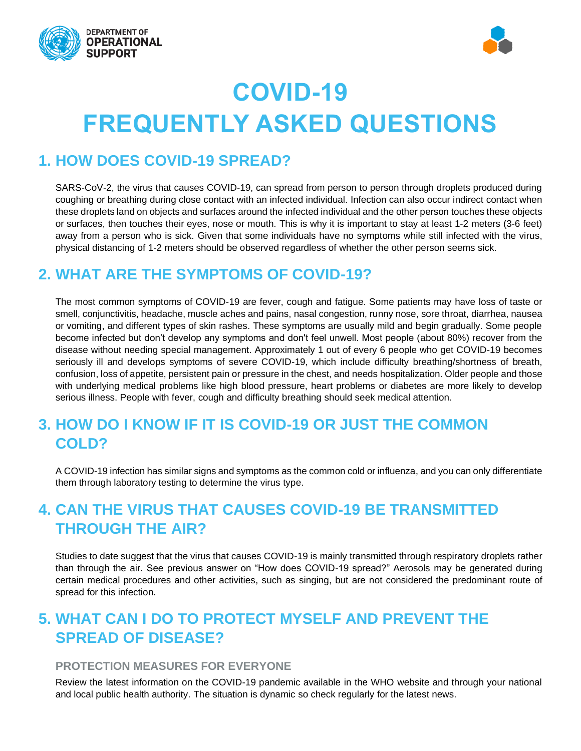



# **COVID-19 FREQUENTLY ASKED QUESTIONS**

#### **1. HOW DOES COVID-19 SPREAD?**

SARS-CoV-2, the virus that causes COVID-19, can spread from person to person through droplets produced during coughing or breathing during close contact with an infected individual. Infection can also occur indirect contact when these droplets land on objects and surfaces around the infected individual and the other person touches these objects or surfaces, then touches their eyes, nose or mouth. This is why it is important to stay at least 1-2 meters (3-6 feet) away from a person who is sick. Given that some individuals have no symptoms while still infected with the virus, physical distancing of 1-2 meters should be observed regardless of whether the other person seems sick.

#### **2. WHAT ARE THE SYMPTOMS OF COVID-19?**

The most common symptoms of COVID-19 are fever, cough and fatigue. Some patients may have loss of taste or smell, conjunctivitis, headache, muscle aches and pains, nasal congestion, runny nose, sore throat, diarrhea, nausea or vomiting, and different types of skin rashes. These symptoms are usually mild and begin gradually. Some people become infected but don't develop any symptoms and don't feel unwell. Most people (about 80%) recover from the disease without needing special management. Approximately 1 out of every 6 people who get COVID-19 becomes seriously ill and develops symptoms of severe COVID-19, which include difficulty breathing/shortness of breath, confusion, loss of appetite, persistent pain or pressure in the chest, and needs hospitalization. Older people and those with underlying medical problems like high blood pressure, heart problems or diabetes are more likely to develop serious illness. People with fever, cough and difficulty breathing should seek medical attention.

# **3. HOW DO I KNOW IF IT IS COVID-19 OR JUST THE COMMON COLD?**

A COVID-19 infection has similar signs and symptoms as the common cold or influenza, and you can only differentiate them through laboratory testing to determine the virus type.

# **4. CAN THE VIRUS THAT CAUSES COVID-19 BE TRANSMITTED THROUGH THE AIR?**

Studies to date suggest that the virus that causes COVID-19 is mainly transmitted through respiratory droplets rather than through the air. See previous answer on "How does COVID-19 spread?" Aerosols may be generated during certain medical procedures and other activities, such as singing, but are not considered the predominant route of spread for this infection.

# **5. WHAT CAN I DO TO PROTECT MYSELF AND PREVENT THE SPREAD OF DISEASE?**

#### **PROTECTION MEASURES FOR EVERYONE**

Review the latest information on the COVID-19 pandemic available in the WHO website and through your national and local public health authority. The situation is dynamic so check regularly for the latest news.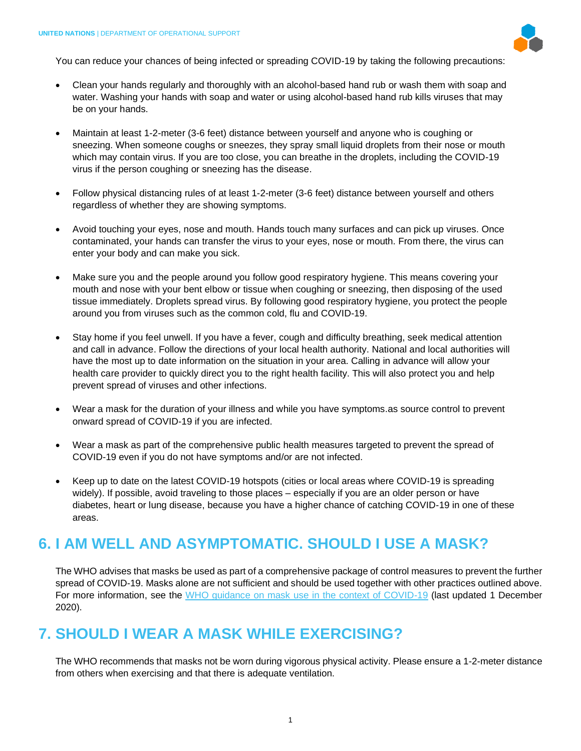

You can reduce your chances of being infected or spreading COVID-19 by taking the following precautions:

- Clean your hands regularly and thoroughly with an alcohol-based hand rub or wash them with soap and water. Washing your hands with soap and water or using alcohol-based hand rub kills viruses that may be on your hands.
- Maintain at least 1-2-meter (3-6 feet) distance between yourself and anyone who is coughing or sneezing. When someone coughs or sneezes, they spray small liquid droplets from their nose or mouth which may contain virus. If you are too close, you can breathe in the droplets, including the COVID-19 virus if the person coughing or sneezing has the disease.
- Follow physical distancing rules of at least 1-2-meter (3-6 feet) distance between yourself and others regardless of whether they are showing symptoms.
- Avoid touching your eyes, nose and mouth. Hands touch many surfaces and can pick up viruses. Once contaminated, your hands can transfer the virus to your eyes, nose or mouth. From there, the virus can enter your body and can make you sick.
- Make sure you and the people around you follow good respiratory hygiene. This means covering your mouth and nose with your bent elbow or tissue when coughing or sneezing, then disposing of the used tissue immediately. Droplets spread virus. By following good respiratory hygiene, you protect the people around you from viruses such as the common cold, flu and COVID-19.
- Stay home if you feel unwell. If you have a fever, cough and difficulty breathing, seek medical attention and call in advance. Follow the directions of your local health authority. National and local authorities will have the most up to date information on the situation in your area. Calling in advance will allow your health care provider to quickly direct you to the right health facility. This will also protect you and help prevent spread of viruses and other infections.
- Wear a mask for the duration of your illness and while you have symptoms.as source control to prevent onward spread of COVID-19 if you are infected.
- Wear a mask as part of the comprehensive public health measures targeted to prevent the spread of COVID-19 even if you do not have symptoms and/or are not infected.
- Keep up to date on the latest COVID-19 hotspots (cities or local areas where COVID-19 is spreading widely). If possible, avoid traveling to those places – especially if you are an older person or have diabetes, heart or lung disease, because you have a higher chance of catching COVID-19 in one of these areas.

#### **6. I AM WELL AND ASYMPTOMATIC. SHOULD I USE A MASK?**

The WHO advises that masks be used as part of a comprehensive package of control measures to prevent the further spread of COVID-19. Masks alone are not sufficient and should be used together with other practices outlined above. For more information, see the [WHO guidance on mask use in the context of COVID-19](https://apps.who.int/iris/rest/bitstreams/1319378/retrieve#:~:text=The%20World%20Health%20Organization%20(WHO,adequate%20protection%20or%20source%20control.) (last updated 1 December 2020).

# **7. SHOULD I WEAR A MASK WHILE EXERCISING?**

The WHO recommends that masks not be worn during vigorous physical activity. Please ensure a 1-2-meter distance from others when exercising and that there is adequate ventilation.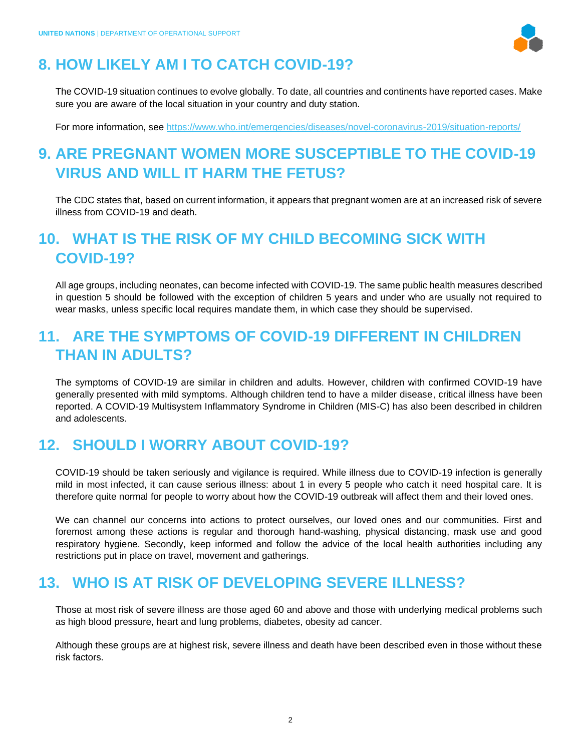

# **8. HOW LIKELY AM I TO CATCH COVID-19?**

The COVID-19 situation continues to evolve globally. To date, all countries and continents have reported cases. Make sure you are aware of the local situation in your country and duty station.

For more information, see<https://www.who.int/emergencies/diseases/novel-coronavirus-2019/situation-reports/>

# **9. ARE PREGNANT WOMEN MORE SUSCEPTIBLE TO THE COVID-19 VIRUS AND WILL IT HARM THE FETUS?**

The CDC states that, based on current information, it appears that pregnant women are at an increased risk of severe illness from COVID-19 and death.

# **10. WHAT IS THE RISK OF MY CHILD BECOMING SICK WITH COVID-19?**

All age groups, including neonates, can become infected with COVID-19. The same public health measures described in question 5 should be followed with the exception of children 5 years and under who are usually not required to wear masks, unless specific local requires mandate them, in which case they should be supervised.

#### **11. ARE THE SYMPTOMS OF COVID-19 DIFFERENT IN CHILDREN THAN IN ADULTS?**

The symptoms of COVID-19 are similar in children and adults. However, children with confirmed COVID-19 have generally presented with mild symptoms. Although children tend to have a milder disease, critical illness have been reported. A COVID-19 Multisystem Inflammatory Syndrome in Children (MIS-C) has also been described in children and adolescents.

#### **12. SHOULD I WORRY ABOUT COVID-19?**

COVID-19 should be taken seriously and vigilance is required. While illness due to COVID-19 infection is generally mild in most infected, it can cause serious illness: about 1 in every 5 people who catch it need hospital care. It is therefore quite normal for people to worry about how the COVID-19 outbreak will affect them and their loved ones.

We can channel our concerns into actions to protect ourselves, our loved ones and our communities. First and foremost among these actions is regular and thorough hand-washing, physical distancing, mask use and good respiratory hygiene. Secondly, keep informed and follow the advice of the local health authorities including any restrictions put in place on travel, movement and gatherings.

#### **13. WHO IS AT RISK OF DEVELOPING SEVERE ILLNESS?**

Those at most risk of severe illness are those aged 60 and above and those with underlying medical problems such as high blood pressure, heart and lung problems, diabetes, obesity ad cancer.

Although these groups are at highest risk, severe illness and death have been described even in those without these risk factors.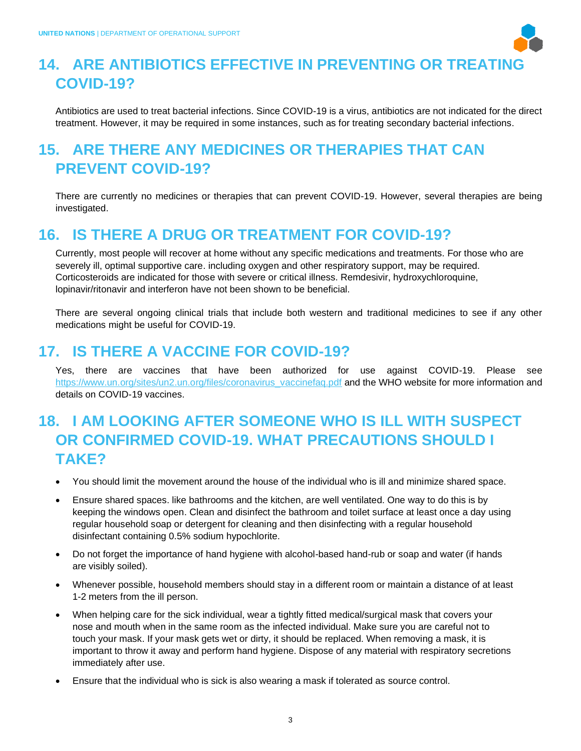

# **14. ARE ANTIBIOTICS EFFECTIVE IN PREVENTING OR TREATING COVID-19?**

Antibiotics are used to treat bacterial infections. Since COVID-19 is a virus, antibiotics are not indicated for the direct treatment. However, it may be required in some instances, such as for treating secondary bacterial infections.

# **15. ARE THERE ANY MEDICINES OR THERAPIES THAT CAN PREVENT COVID-19?**

There are currently no medicines or therapies that can prevent COVID-19. However, several therapies are being investigated.

#### **16. IS THERE A DRUG OR TREATMENT FOR COVID-19?**

Currently, most people will recover at home without any specific medications and treatments. For those who are severely ill, optimal supportive care. including oxygen and other respiratory support, may be required. Corticosteroids are indicated for those with severe or critical illness. Remdesivir, hydroxychloroquine, lopinavir/ritonavir and interferon have not been shown to be beneficial.

There are several ongoing clinical trials that include both western and traditional medicines to see if any other medications might be useful for COVID-19.

#### **17. IS THERE A VACCINE FOR COVID-19?**

Yes, there are vaccines that have been authorized for use against COVID-19. Please see [https://www.un.org/sites/un2.un.org/files/coronavirus\\_vaccinefaq.pdf](https://www.un.org/sites/un2.un.org/files/coronavirus_vaccinefaq.pdf) and the WHO website for more information and details on COVID-19 vaccines.

# **18. I AM LOOKING AFTER SOMEONE WHO IS ILL WITH SUSPECT OR CONFIRMED COVID-19. WHAT PRECAUTIONS SHOULD I TAKE?**

- You should limit the movement around the house of the individual who is ill and minimize shared space.
- Ensure shared spaces. like bathrooms and the kitchen, are well ventilated. One way to do this is by keeping the windows open. Clean and disinfect the bathroom and toilet surface at least once a day using regular household soap or detergent for cleaning and then disinfecting with a regular household disinfectant containing 0.5% sodium hypochlorite.
- Do not forget the importance of hand hygiene with alcohol-based hand-rub or soap and water (if hands are visibly soiled).
- Whenever possible, household members should stay in a different room or maintain a distance of at least 1-2 meters from the ill person.
- When helping care for the sick individual, wear a tightly fitted medical/surgical mask that covers your nose and mouth when in the same room as the infected individual. Make sure you are careful not to touch your mask. If your mask gets wet or dirty, it should be replaced. When removing a mask, it is important to throw it away and perform hand hygiene. Dispose of any material with respiratory secretions immediately after use.
- Ensure that the individual who is sick is also wearing a mask if tolerated as source control.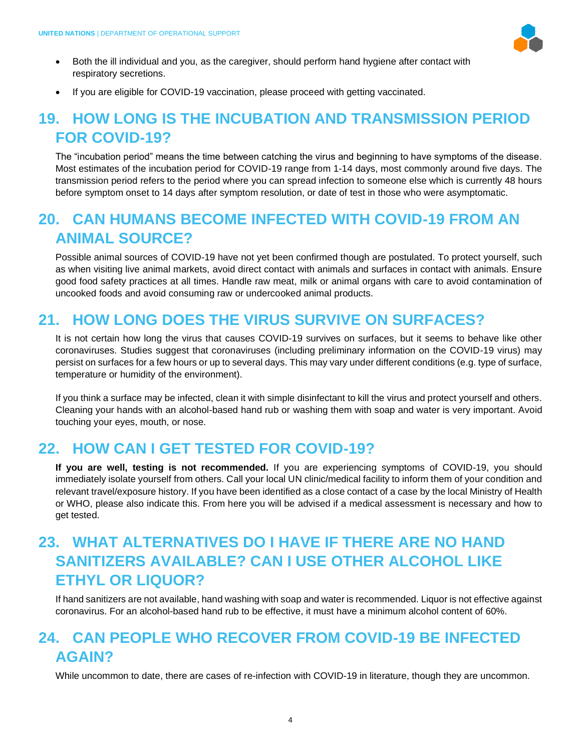

- Both the ill individual and you, as the caregiver, should perform hand hygiene after contact with respiratory secretions.
- If you are eligible for COVID-19 vaccination, please proceed with getting vaccinated.

#### **19. HOW LONG IS THE INCUBATION AND TRANSMISSION PERIOD FOR COVID-19?**

The "incubation period" means the time between catching the virus and beginning to have symptoms of the disease. Most estimates of the incubation period for COVID-19 range from 1-14 days, most commonly around five days. The transmission period refers to the period where you can spread infection to someone else which is currently 48 hours before symptom onset to 14 days after symptom resolution, or date of test in those who were asymptomatic.

#### **20. CAN HUMANS BECOME INFECTED WITH COVID-19 FROM AN ANIMAL SOURCE?**

Possible animal sources of COVID-19 have not yet been confirmed though are postulated. To protect yourself, such as when visiting live animal markets, avoid direct contact with animals and surfaces in contact with animals. Ensure good food safety practices at all times. Handle raw meat, milk or animal organs with care to avoid contamination of uncooked foods and avoid consuming raw or undercooked animal products.

# **21. HOW LONG DOES THE VIRUS SURVIVE ON SURFACES?**

It is not certain how long the virus that causes COVID-19 survives on surfaces, but it seems to behave like other coronaviruses. Studies suggest that coronaviruses (including preliminary information on the COVID-19 virus) may persist on surfaces for a few hours or up to several days. This may vary under different conditions (e.g. type of surface, temperature or humidity of the environment).

If you think a surface may be infected, clean it with simple disinfectant to kill the virus and protect yourself and others. Cleaning your hands with an alcohol-based hand rub or washing them with soap and water is very important. Avoid touching your eyes, mouth, or nose.

#### **22. HOW CAN I GET TESTED FOR COVID-19?**

**If you are well, testing is not recommended.** If you are experiencing symptoms of COVID-19, you should immediately isolate yourself from others. Call your local UN clinic/medical facility to inform them of your condition and relevant travel/exposure history. If you have been identified as a close contact of a case by the local Ministry of Health or WHO, please also indicate this. From here you will be advised if a medical assessment is necessary and how to get tested.

# **23. WHAT ALTERNATIVES DO I HAVE IF THERE ARE NO HAND SANITIZERS AVAILABLE? CAN I USE OTHER ALCOHOL LIKE ETHYL OR LIQUOR?**

If hand sanitizers are not available, hand washing with soap and water is recommended. Liquor is not effective against coronavirus. For an alcohol-based hand rub to be effective, it must have a minimum alcohol content of 60%.

#### **24. CAN PEOPLE WHO RECOVER FROM COVID-19 BE INFECTED AGAIN?**

While uncommon to date, there are cases of re-infection with COVID-19 in literature, though they are uncommon.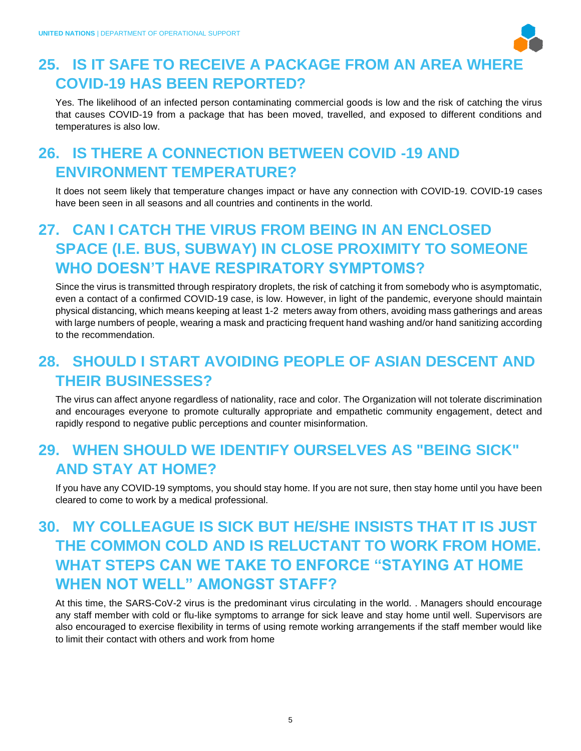

# **25. IS IT SAFE TO RECEIVE A PACKAGE FROM AN AREA WHERE COVID-19 HAS BEEN REPORTED?**

Yes. The likelihood of an infected person contaminating commercial goods is low and the risk of catching the virus that causes COVID-19 from a package that has been moved, travelled, and exposed to different conditions and temperatures is also low.

# **26. IS THERE A CONNECTION BETWEEN COVID -19 AND ENVIRONMENT TEMPERATURE?**

It does not seem likely that temperature changes impact or have any connection with COVID-19. COVID-19 cases have been seen in all seasons and all countries and continents in the world.

### **27. CAN I CATCH THE VIRUS FROM BEING IN AN ENCLOSED SPACE (I.E. BUS, SUBWAY) IN CLOSE PROXIMITY TO SOMEONE WHO DOESN'T HAVE RESPIRATORY SYMPTOMS?**

Since the virus is transmitted through respiratory droplets, the risk of catching it from somebody who is asymptomatic, even a contact of a confirmed COVID-19 case, is low. However, in light of the pandemic, everyone should maintain physical distancing, which means keeping at least 1-2 meters away from others, avoiding mass gatherings and areas with large numbers of people, wearing a mask and practicing frequent hand washing and/or hand sanitizing according to the recommendation.

## **28. SHOULD I START AVOIDING PEOPLE OF ASIAN DESCENT AND THEIR BUSINESSES?**

The virus can affect anyone regardless of nationality, race and color. The Organization will not tolerate discrimination and encourages everyone to promote culturally appropriate and empathetic community engagement, detect and rapidly respond to negative public perceptions and counter misinformation.

#### **29. WHEN SHOULD WE IDENTIFY OURSELVES AS "BEING SICK" AND STAY AT HOME?**

If you have any COVID-19 symptoms, you should stay home. If you are not sure, then stay home until you have been cleared to come to work by a medical professional.

# **30. MY COLLEAGUE IS SICK BUT HE/SHE INSISTS THAT IT IS JUST THE COMMON COLD AND IS RELUCTANT TO WORK FROM HOME. WHAT STEPS CAN WE TAKE TO ENFORCE "STAYING AT HOME WHEN NOT WELL" AMONGST STAFF?**

At this time, the SARS-CoV-2 virus is the predominant virus circulating in the world. . Managers should encourage any staff member with cold or flu-like symptoms to arrange for sick leave and stay home until well. Supervisors are also encouraged to exercise flexibility in terms of using remote working arrangements if the staff member would like to limit their contact with others and work from home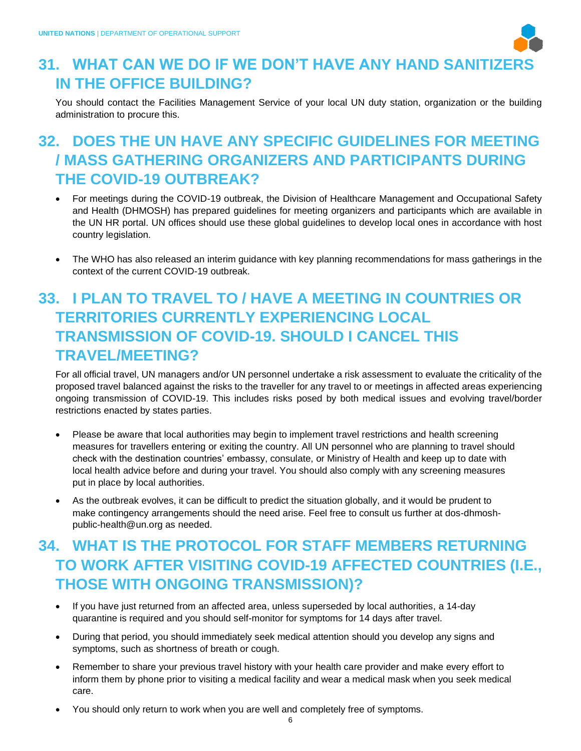

#### **31. WHAT CAN WE DO IF WE DON'T HAVE ANY HAND SANITIZERS IN THE OFFICE BUILDING?**

You should contact the Facilities Management Service of your local UN duty station, organization or the building administration to procure this.

# **32. DOES THE UN HAVE ANY SPECIFIC GUIDELINES FOR MEETING / MASS GATHERING ORGANIZERS AND PARTICIPANTS DURING THE COVID-19 OUTBREAK?**

- For meetings during the COVID-19 outbreak, the Division of Healthcare Management and Occupational Safety and Health (DHMOSH) has prepared guidelines for meeting [organizers](https://hr.un.org/sites/hr.un.org/files/Coronavirus_MeetingGuideOrganisersGlobal_2020-02_24_0.pdf) and [participants](https://hr.un.org/sites/hr.un.org/files/Coronavirus_MeetingGuideParticipantsGlobal_2020-02_26_0.pdf) which are available in the UN HR portal. UN offices should use these global guidelines to develop local ones in accordance with host country legislation.
- The WHO has also released an [interim guidance](https://hr.un.org/sites/hr.un.org/files/WHO-2019-nCoV-POEmassgathering-2020%20ENG_0.pdf) with key planning recommendations for mass gatherings in the context of the current COVID-19 outbreak.

# **33. I PLAN TO TRAVEL TO / HAVE A MEETING IN COUNTRIES OR TERRITORIES CURRENTLY EXPERIENCING LOCAL TRANSMISSION OF COVID-19. SHOULD I CANCEL THIS TRAVEL/MEETING?**

For all official travel, UN managers and/or UN personnel undertake a risk assessment to evaluate the criticality of the proposed travel balanced against the risks to the traveller for any travel to or meetings in affected areas experiencing ongoing transmission of COVID-19. This includes risks posed by both medical issues and evolving travel/border restrictions enacted by states parties.

- Please be aware that local authorities may begin to implement travel restrictions and health screening measures for travellers entering or exiting the country. All UN personnel who are planning to travel should check with the destination countries' embassy, consulate, or Ministry of Health and keep up to date with local health advice before and during your travel. You should also comply with any screening measures put in place by local authorities.
- As the outbreak evolves, it can be difficult to predict the situation globally, and it would be prudent to make contingency arrangements should the need arise. Feel free to consult us further at dos-dhmoshpublic-health@un.org as needed.

# **34. WHAT IS THE PROTOCOL FOR STAFF MEMBERS RETURNING TO WORK AFTER VISITING COVID-19 AFFECTED COUNTRIES (I.E., THOSE WITH ONGOING TRANSMISSION)?**

- If you have just returned from an affected area, unless superseded by local authorities, a 14-day quarantine is required and you should self-monitor for symptoms for 14 days after travel.
- During that period, you should immediately seek medical attention should you develop any signs and symptoms, such as shortness of breath or cough.
- Remember to share your previous travel history with your health care provider and make every effort to inform them by phone prior to visiting a medical facility and wear a medical mask when you seek medical care.
- You should only return to work when you are well and completely free of symptoms.